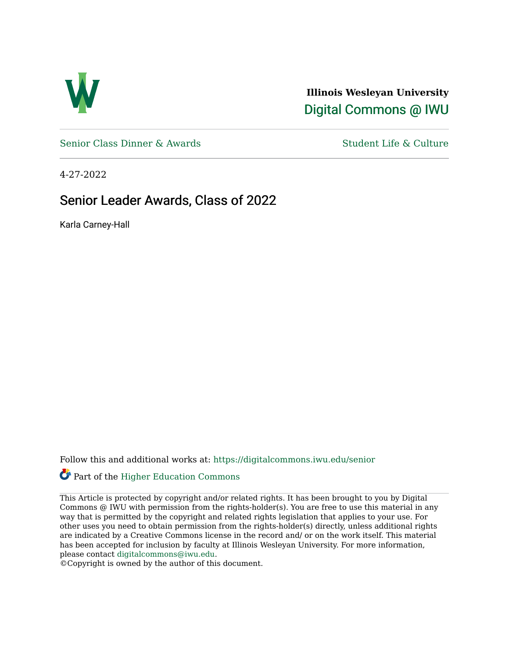

**Illinois Wesleyan University**  [Digital Commons @ IWU](https://digitalcommons.iwu.edu/) 

[Senior Class Dinner & Awards](https://digitalcommons.iwu.edu/senior) Student Life & Culture

4-27-2022

#### Senior Leader Awards, Class of 2022

Karla Carney-Hall

Follow this and additional works at: [https://digitalcommons.iwu.edu/senior](https://digitalcommons.iwu.edu/senior?utm_source=digitalcommons.iwu.edu%2Fsenior%2F5&utm_medium=PDF&utm_campaign=PDFCoverPages) 

#### Part of the [Higher Education Commons](https://network.bepress.com/hgg/discipline/1245?utm_source=digitalcommons.iwu.edu%2Fsenior%2F5&utm_medium=PDF&utm_campaign=PDFCoverPages)

This Article is protected by copyright and/or related rights. It has been brought to you by Digital Commons @ IWU with permission from the rights-holder(s). You are free to use this material in any way that is permitted by the copyright and related rights legislation that applies to your use. For other uses you need to obtain permission from the rights-holder(s) directly, unless additional rights are indicated by a Creative Commons license in the record and/ or on the work itself. This material has been accepted for inclusion by faculty at Illinois Wesleyan University. For more information, please contact [digitalcommons@iwu.edu.](mailto:digitalcommons@iwu.edu)

©Copyright is owned by the author of this document.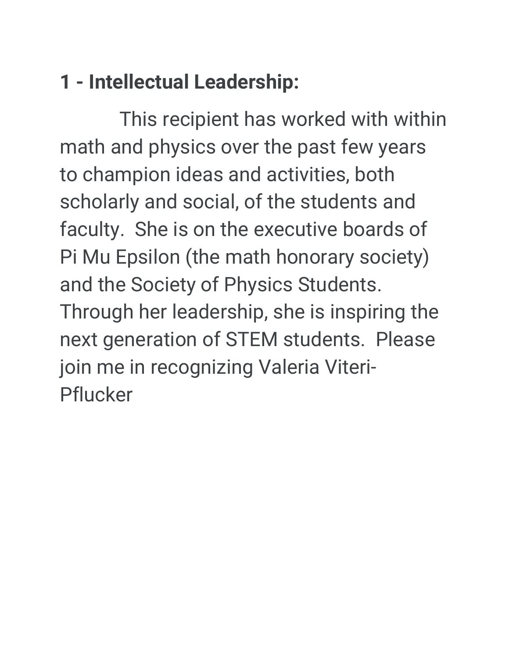# **1 - Intellectual Leadership:**

 This recipient has worked with within math and physics over the past few years to champion ideas and activities, both scholarly and social, of the students and faculty. She is on the executive boards of Pi Mu Epsilon (the math honorary society) and the Society of Physics Students. Through her leadership, she is inspiring the next generation of STEM students. Please join me in recognizing Valeria Viteri-Pflucker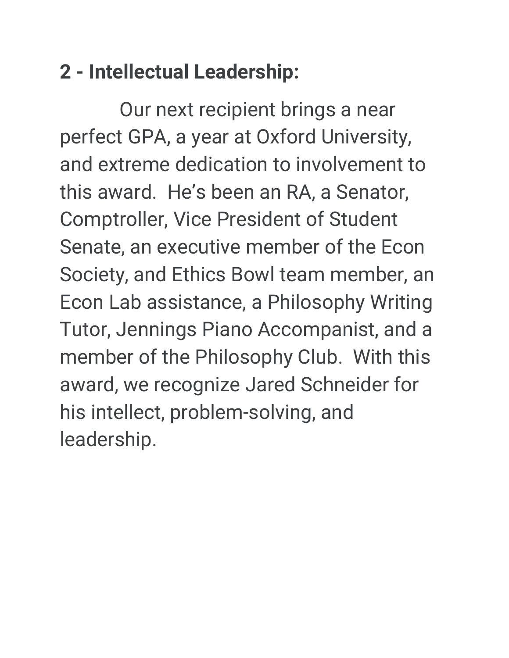### **2 - Intellectual Leadership:**

 Our next recipient brings a near perfect GPA, a year at Oxford University, and extreme dedication to involvement to this award. He's been an RA, a Senator, Comptroller, Vice President of Student Senate, an executive member of the Econ Society, and Ethics Bowl team member, an Econ Lab assistance, a Philosophy Writing Tutor, Jennings Piano Accompanist, and a member of the Philosophy Club. With this award, we recognize Jared Schneider for his intellect, problem-solving, and leadership.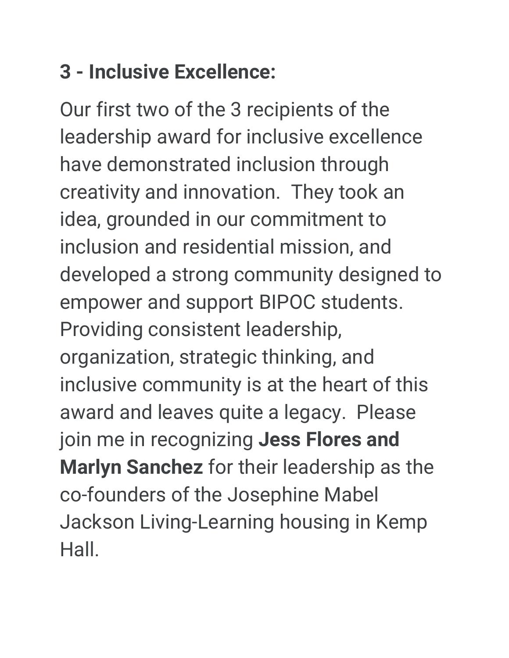### **3 - Inclusive Excellence:**

Our first two of the 3 recipients of the leadership award for inclusive excellence have demonstrated inclusion through creativity and innovation. They took an idea, grounded in our commitment to inclusion and residential mission, and developed a strong community designed to empower and support BIPOC students. Providing consistent leadership, organization, strategic thinking, and inclusive community is at the heart of this award and leaves quite a legacy. Please join me in recognizing **Jess Flores and Marlyn Sanchez** for their leadership as the co-founders of the Josephine Mabel Jackson Living-Learning housing in Kemp Hall.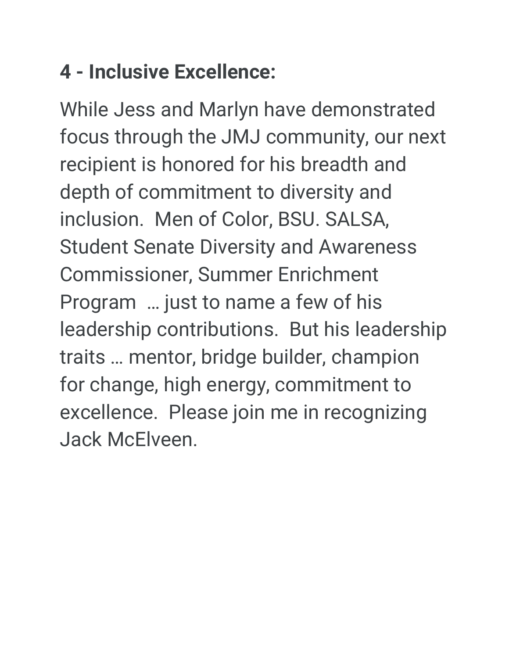# **4 - Inclusive Excellence:**

While Jess and Marlyn have demonstrated focus through the JMJ community, our next recipient is honored for his breadth and depth of commitment to diversity and inclusion. Men of Color, BSU. SALSA, Student Senate Diversity and Awareness Commissioner, Summer Enrichment Program … just to name a few of his leadership contributions. But his leadership traits … mentor, bridge builder, champion for change, high energy, commitment to excellence. Please join me in recognizing Jack McElveen.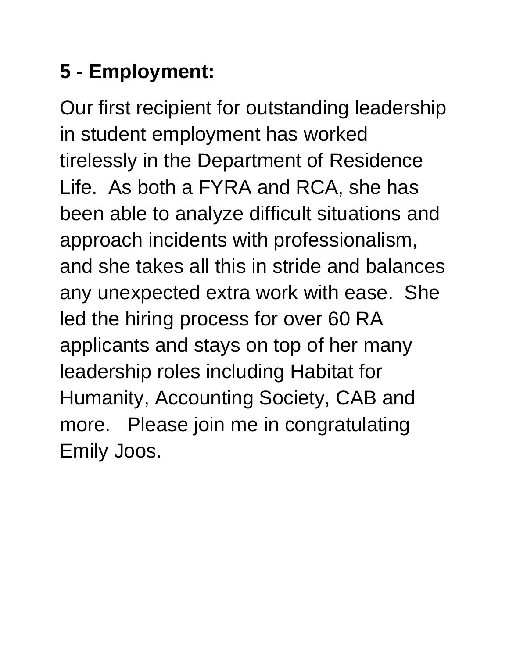# **5 - Employment:**

Our first recipient for outstanding leadership in student employment has worked tirelessly in the Department of Residence Life. As both a FYRA and RCA, she has been able to analyze difficult situations and approach incidents with professionalism, and she takes all this in stride and balances any unexpected extra work with ease. She led the hiring process for over 60 RA applicants and stays on top of her many leadership roles including Habitat for Humanity, Accounting Society, CAB and more. Please join me in congratulating Emily Joos.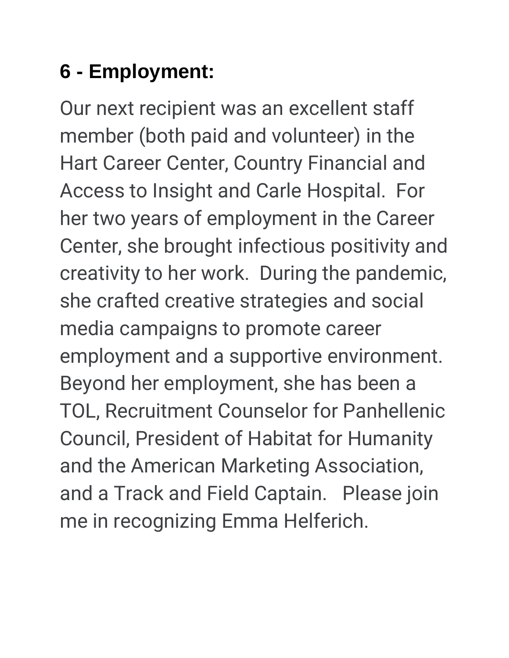# **6 - Employment:**

Our next recipient was an excellent staff member (both paid and volunteer) in the Hart Career Center, Country Financial and Access to Insight and Carle Hospital. For her two years of employment in the Career Center, she brought infectious positivity and creativity to her work. During the pandemic, she crafted creative strategies and social media campaigns to promote career employment and a supportive environment. Beyond her employment, she has been a TOL, Recruitment Counselor for Panhellenic Council, President of Habitat for Humanity and the American Marketing Association, and a Track and Field Captain. Please join me in recognizing Emma Helferich.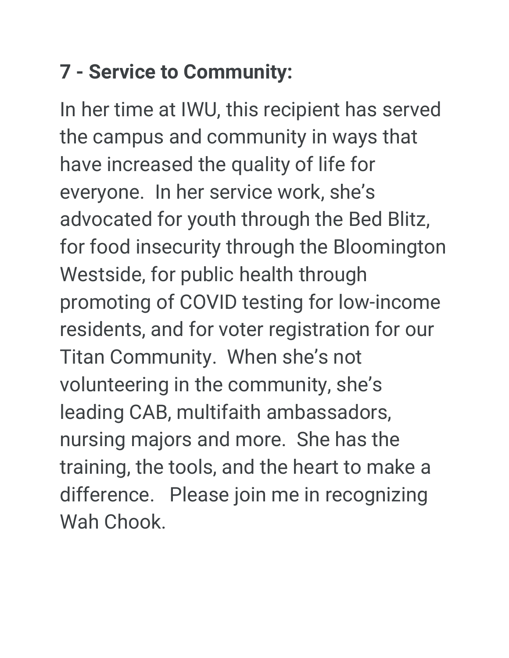# **7 - Service to Community:**

In her time at IWU, this recipient has served the campus and community in ways that have increased the quality of life for everyone. In her service work, she's advocated for youth through the Bed Blitz, for food insecurity through the Bloomington Westside, for public health through promoting of COVID testing for low-income residents, and for voter registration for our Titan Community. When she's not volunteering in the community, she's leading CAB, multifaith ambassadors, nursing majors and more. She has the training, the tools, and the heart to make a difference. Please join me in recognizing Wah Chook.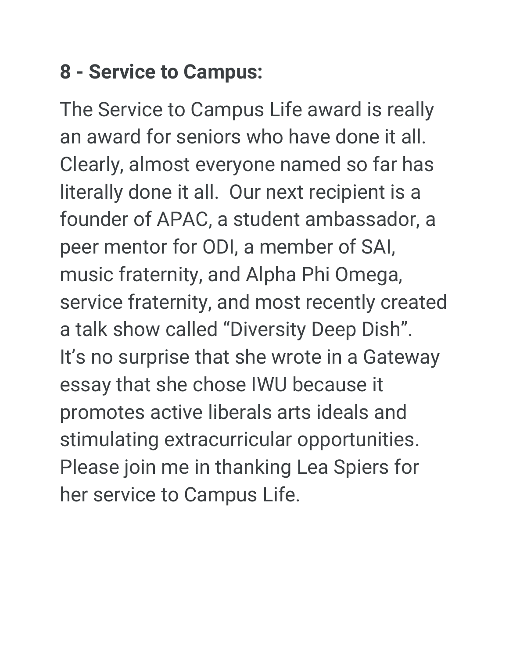### **8 - Service to Campus:**

The Service to Campus Life award is really an award for seniors who have done it all. Clearly, almost everyone named so far has literally done it all. Our next recipient is a founder of APAC, a student ambassador, a peer mentor for ODI, a member of SAI, music fraternity, and Alpha Phi Omega, service fraternity, and most recently created a talk show called "Diversity Deep Dish". It's no surprise that she wrote in a Gateway essay that she chose IWU because it promotes active liberals arts ideals and stimulating extracurricular opportunities. Please join me in thanking Lea Spiers for her service to Campus Life.